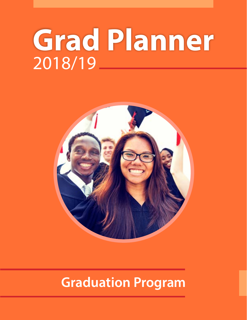# **Grad Planner** 2018/19



## **Graduation Program**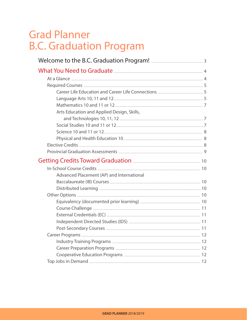### **Grad Planner B.C. Graduation Program**

| Career Life Education and Career Life Connections <b>Career Life Connections</b>                                                                                                                                                              |  |
|-----------------------------------------------------------------------------------------------------------------------------------------------------------------------------------------------------------------------------------------------|--|
| Language Arts 10, 11 and 12. 2000 10. 2000 10:00:00 15                                                                                                                                                                                        |  |
|                                                                                                                                                                                                                                               |  |
| Arts Education and Applied Design, Skills,                                                                                                                                                                                                    |  |
|                                                                                                                                                                                                                                               |  |
| Social Studies 10 and 11 or 12 [2012] [2013] The Social Studies 10 and 11 or 12 [2013] [2013] [2013] [2013] [2014] [2014] [2014] [2014] [2014] [2014] [2014] [2014] [2014] [2014] [2014] [2014] [2014] [2014] [2014] [2014] [2                |  |
| Science 10 and 11 or 12. 3                                                                                                                                                                                                                    |  |
|                                                                                                                                                                                                                                               |  |
|                                                                                                                                                                                                                                               |  |
| Provincial Graduation Assessments <b>[1994]</b> Area and the Section of Provincial Graduation Assessments <b>[1994]</b> Area and the Section of Provincial Graduation Assessments <b>[1994]</b> Area and the Section of Provincial Contract o |  |
| Getting Credits Toward Graduation <b>Engineering</b> 10                                                                                                                                                                                       |  |
|                                                                                                                                                                                                                                               |  |
| Advanced Placement (AP) and International                                                                                                                                                                                                     |  |
| Baccalaureate (IB) Courses <b>Manual Education Control</b> 10                                                                                                                                                                                 |  |
|                                                                                                                                                                                                                                               |  |
|                                                                                                                                                                                                                                               |  |
| Equivalency (documented prior learning) <b>Example 20</b> 10                                                                                                                                                                                  |  |
| Course Challenge <b>Election</b> 21                                                                                                                                                                                                           |  |
| External Credentials (EC) External Credentials (EC) External Credentials (EC)                                                                                                                                                                 |  |
|                                                                                                                                                                                                                                               |  |
| Post-Secondary Courses <b>Entity Courses</b> 21                                                                                                                                                                                               |  |
|                                                                                                                                                                                                                                               |  |
| Industry Training Programs <b>Election Contract Contract Contract Contract Contract Contract Contract Contract Contract Contract Contract Contract Contract Contract Contract Contract Contract Contract Contract Contract Contr</b>          |  |
| Career Preparation Programs <b>Election</b> 22                                                                                                                                                                                                |  |
|                                                                                                                                                                                                                                               |  |
| Top Jobs in Demand <b>Election</b> 22                                                                                                                                                                                                         |  |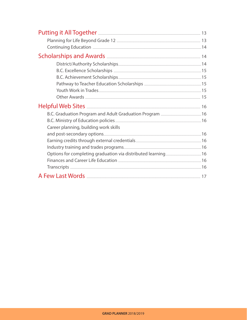| B.C. Excellence Scholarships <b>[2016]</b> 25 A.C. Excellence 36 A.D. 25 |  |
|--------------------------------------------------------------------------|--|
|                                                                          |  |
|                                                                          |  |
| <b>Youth Work in Trades</b>                                              |  |
|                                                                          |  |
|                                                                          |  |
| B.C. Graduation Program and Adult Graduation Program <b>[2016]</b> 16    |  |
| B.C. Ministry of Education policies <b>And Alice Advisors</b> 16         |  |
| Career planning, building work skills                                    |  |
| and post-secondary options 16                                            |  |
|                                                                          |  |
|                                                                          |  |
|                                                                          |  |
| Finances and Career Life Education <b>[47]</b> The Contract of the 16    |  |
| Transcripts 16                                                           |  |
|                                                                          |  |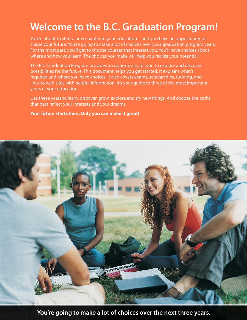### **Welcome to the B.C. Graduation Program!**

You're about to start a new chapter in your education – and you have an opportunity to shape your future. You're going to make a lot of choices over your graduation program years. For the most part, you'll get to choose courses that interest you. You'll have choices about where and how you learn. The choices you make will help you realize your potential.

The B.C. Graduation Program provides an opportunity for you to explore and discover possibilities for the future. This document helps you get started. It explains what's required and where you have choices. It also covers exams, scholarships, funding, and links to web sites with helpful information. It's your guide to three of the most important years of your education.

Use these years to learn, discover, grow, explore and try new things. And choose the paths that best reflect your interests and your dreams.

#### **Your future starts here. Only you can make it great!**



**You're going to make a lot of choices over the next three years.**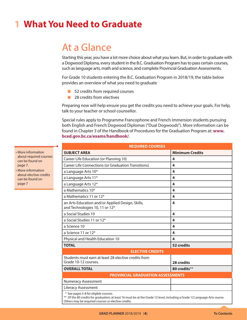### **1 What You Need to Graduate**

### At a Glance

Starting this year, you have a lot more choice about what you learn. But, in order to graduate with a Dogwood Diploma, every student in the B.C. Graduation Program has to pass certain courses, such as language arts, math and science, and complete Provincial Graduation Assessments.

For Grade 10 students entering the B.C. Graduation Program in 2018/19, the table below provides an overview of what you need to graduate

- $\blacksquare$  52 credits from required courses
- $\blacksquare$  28 credits from electives

Preparing now will help ensure you get the credits you need to achieve your goals. For help, talk to your teacher or school counsellor.

Special rules apply to Programme Francophone and French Immersion students pursuing both English and French Dogwood Diplomas ("Dual Dogwoods"). More information can be found in Chapter 3 of the Handbook of Procedures for the Graduation Program at: **[www.](www.bced.gov.bc.ca/exams/handbook/)  [bced.gov.bc.ca/exams/handbook/](www.bced.gov.bc.ca/exams/handbook/)**.

| <b>REQUIRED COURSES</b>                                                                                                                                             |                         |
|---------------------------------------------------------------------------------------------------------------------------------------------------------------------|-------------------------|
| <b>SUBJECT AREA</b>                                                                                                                                                 | <b>Minimum Credits</b>  |
| Career Life Education (or Planning 10)                                                                                                                              | 4                       |
| Career Life Connections (or Graduation Transitions)                                                                                                                 | $\overline{\mathbf{A}}$ |
| a Language Arts 10*                                                                                                                                                 | 4                       |
| a Language Arts 11*                                                                                                                                                 | 4                       |
| a Language Arts 12*                                                                                                                                                 | 4                       |
| a Mathematics 10*                                                                                                                                                   | 4                       |
| a Mathematics 11 or 12*                                                                                                                                             | 4                       |
| an Arts Education and/or Applied Design, Skills,<br>and Technologies 10, 11 or 12*                                                                                  | 4                       |
| a Social Studies 10                                                                                                                                                 | 4                       |
| a Social Studies 11 or 12*                                                                                                                                          | 4                       |
| a Science 10                                                                                                                                                        | 4                       |
| a Science 11 or 12*                                                                                                                                                 | 4                       |
| Physical and Health Education 10                                                                                                                                    | 4                       |
| <b>TOTAL</b>                                                                                                                                                        | 52 credits              |
| <b>ELECTIVE CREDITS</b>                                                                                                                                             |                         |
| Students must earn at least 28 elective credits from<br>Grade 10-12 courses.                                                                                        | 28 credits              |
| <b>OVERALL TOTAL</b>                                                                                                                                                | 80 credits**            |
| <b>PROVINCIAL GRADUATION ASSESSMENTS</b>                                                                                                                            |                         |
| <b>Numeracy Assessment</b>                                                                                                                                          |                         |
| <b>Literacy Assessment</b>                                                                                                                                          |                         |
| * See pages 5-8 for eligible courses.<br>** Of the 80 credits for graduation, at least 16 must be at the Grade 12 level, including a Grade 12 Language Arts course. |                         |

- More information about required courses can be found on page 7.
- More information about elective credits can be found on page 7

Others may be required courses or elective credits.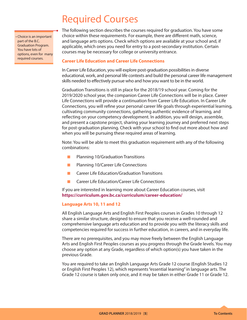### Required Courses

• Choice is an important part of the B.C. Graduation Program. You have lots of options, even for many required courses.

The following section describes the courses required for graduation. You have some choice within these requirements. For example, there are different math, science, and language arts options. Check which options are available at your school and, if applicable, which ones you need for entry to a post-secondary institution. Certain courses may be necessary for college or university entrance.

#### **Career Life Education and Career Life Connections**

In Career Life Education, you will explore post-graduation possibilities in diverse educational, work, and personal life contexts and build the personal career life management skills needed to effectively pursue who and how you want to be in the world.

Graduation Transitions is still in place for the 2018/19 school year. Coming for the 2019/2020 school year, the companion Career Life Connections will be in place. Career Life Connections will provide a continuation from Career Life Education. In Career Life Connections, you will refine your personal career life goals through experiential learning, cultivating community connections, gathering authentic evidence of learning, and reflecting on your competency development. In addition, you will design, assemble, and present a capstone project, sharing your learning journey and preferred next steps for post-graduation planning. Check with your school to find out more about how and when you will be pursuing these required areas of learning.

Note: You will be able to meet this graduation requirement with any of the following combinations:

- $\blacksquare$  Planning 10/Graduation Transitions
- $\blacksquare$  Planning 10/Career Life Connections
- $\blacksquare$  Career Life Education/Graduation Transitions
- $\blacksquare$  Career Life Education/Career Life Connections

If you are interested in learning more about Career Education courses, visit **[https://curriculum.gov.bc.ca/curriculum/career-education/](https://curriculum.gov.bc.ca/curriculum/career-education)**

#### **Language Arts 10, 11 and 12**

All English Language Arts and English First Peoples courses in Grades 10 through 12 share a similar structure, designed to ensure that you receive a well-rounded and comprehensive language arts education and to provide you with the literacy skills and competencies required for success in further education, in careers, and in everyday life.

There are no prerequisites, and you may move freely between the English Language Arts and English First Peoples courses as you progress through the Grade levels. You may choose any option at any Grade, regardless of which option(s) you have taken in the previous Grade.

You are required to take an English Language Arts Grade 12 course (English Studies 12 or English First Peoples 12), which represents "essential learning" in language arts. The Grade 12 course is taken only once, and it may be taken in either Grade 11 or Grade 12.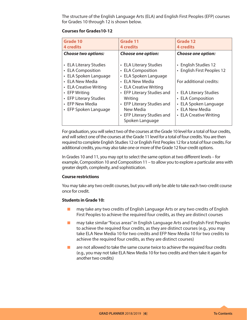The structure of the English Language Arts (ELA) and English First Peoples (EFP) courses for Grades 10 through 12 is shown below.

#### **Courses for Grades10-12**

| <b>Choose two options:</b><br><b>Choose one option:</b><br><b>Choose one option:</b><br>• English Studies 12<br>• ELA Literary Studies<br>• ELA Literary Studies<br>• ELA Composition<br>• ELA Composition<br>• ELA Spoken Language<br>• ELA Spoken Language<br>• ELA New Media<br>For additional credits:<br>• ELA New Media<br>• ELA Creative Writing<br>• ELA Creative Writing<br>• EFP Literary Studies and<br>• EFP Writing<br>• ELA Literary Studies | <b>Grade 10</b><br><b>4 credits</b> | <b>Grade 11</b><br><b>4</b> credits | <b>Grade 12</b><br><b>4</b> credits                                      |
|------------------------------------------------------------------------------------------------------------------------------------------------------------------------------------------------------------------------------------------------------------------------------------------------------------------------------------------------------------------------------------------------------------------------------------------------------------|-------------------------------------|-------------------------------------|--------------------------------------------------------------------------|
|                                                                                                                                                                                                                                                                                                                                                                                                                                                            |                                     |                                     |                                                                          |
| • EFP New Media<br>• EFP Literary Studies and<br>• ELA New Media<br>New Media<br>• EFP Spoken Language<br>• EFP Literary Studies and<br>• ELA Creative Writing<br>Spoken Language                                                                                                                                                                                                                                                                          | • EFP Literary Studies              | Writing                             | • English First Peoples 12<br>• ELA Composition<br>• ELA Spoken Language |

For graduation, you will select two of the courses at the Grade 10 level for a total of four credits, and will select one of the courses at the Grade 11 level for a total of four credits. You are then required to complete English Studies 12 or English First Peoples 12 for a total of four credits. For additional credits, you may also take one or more of the Grade 12 four-credit options.

In Grades 10 and 11, you may opt to select the same option at two different levels – for example, Composition 10 and Composition 11 – to allow you to explore a particular area with greater depth, complexity, and sophistication.

#### **Course restrictions**

You may take any two credit courses, but you will only be able to take each two-credit course once for credit.

#### **Students in Grade 10:**

- $\blacksquare$  may take any two credits of English Language Arts or any two credits of English First Peoples to achieve the required four credits, as they are distinct courses
- $\blacksquare$  may take similar "focus areas" in English Language Arts and English First Peoples to achieve the required four credits, as they are distinct courses (e.g., you may take ELA New Media 10 for two credits and EFP New Media 10 for two credits to achieve the required four credits, as they are distinct courses)
- $\blacksquare$  are not allowed to take the same course twice to achieve the required four credits (e.g., you may not take ELA New Media 10 for two credits and then take it again for another two credits)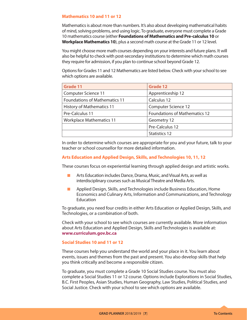#### **Mathematics 10 and 11 or 12**

Mathematics is about more than numbers. It's also about developing mathematical habits of mind, solving problems, and using logic. To graduate, everyone must complete a Grade 10 mathematics course (either **Foundations of Mathematics and Pre-calculus 10** or **Workplace Mathematics 10**), plus a second math course at the Grade 11 or 12 level.

You might choose more math courses depending on your interests and future plans. It will also be helpful to check with post-secondary institutions to determine which math courses they require for admission, if you plan to continue school beyond Grade 12.

Options for Grades 11 and 12 Mathematics are listed below. Check with your school to see which options are available.

| <b>Grade 11</b>                      | <b>Grade 12</b>                      |
|--------------------------------------|--------------------------------------|
| Computer Science 11                  | Apprenticeship 12                    |
| <b>Foundations of Mathematics 11</b> | Calculus 12                          |
| <b>History of Mathematics 11</b>     | <b>Computer Science 12</b>           |
| Pre-Calculus 11                      | <b>Foundations of Mathematics 12</b> |
| <b>Workplace Mathematics 11</b>      | Geometry 12                          |
|                                      | Pre-Calculus 12                      |
|                                      | Statistics 12                        |

In order to determine which courses are appropriate for you and your future, talk to your teacher or school counsellor for more detailed information.

#### **Arts Education and Applied Design, Skills, and Technologies 10, 11, 12**

These courses focus on experiential learning through applied design and artistic works.

- **K** Arts Education includes Dance, Drama, Music, and Visual Arts, as well as interdisciplinary courses such as Musical Theatre and Media Arts.
- $\blacksquare$  Applied Design, Skills, and Technologies include Business Education, Home Economics and Culinary Arts, Information and Communications, and Technology **Education**

To graduate, you need four credits in either Arts Education or Applied Design, Skills, and Technologies, or a combination of both.

Check with your school to see which courses are currently available. More information about Arts Education and Applied Design, Skills and Technologies is available at: **<www.curriculum.gov.bc.ca>**

#### **Social Studies 10 and 11 or 12**

These courses help you understand the world and your place in it. You learn about events, issues and themes from the past and present. You also develop skills that help you think critically and become a responsible citizen.

To graduate, you must complete a Grade 10 Social Studies course. You must also complete a Social Studies 11 or 12 course. Options include Explorations in Social Studies, B.C. First Peoples, Asian Studies, Human Geography, Law Studies, Political Studies, and Social Justice. Check with your school to see which options are available.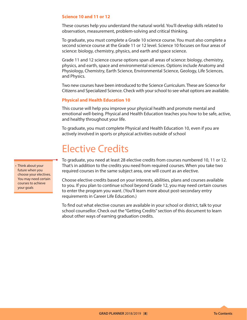#### **Science 10 and 11 or 12**

These courses help you understand the natural world. You'll develop skills related to observation, measurement, problem-solving and critical thinking.

To graduate, you must complete a Grade 10 science course. You must also complete a second science course at the Grade 11 or 12 level. Science 10 focuses on four areas of science: biology, chemistry, physics, and earth and space science.

Grade 11 and 12 science course options span all areas of science: biology, chemistry, physics, and earth, space and environmental sciences. Options include Anatomy and Physiology, Chemistry, Earth Science, Environmental Science, Geology, Life Sciences, and Physics.

Two new courses have been introduced to the Science Curriculum. These are Science for Citizens and Specialized Science. Check with your school to see what options are available.

#### **Physical and Health Education 10**

This course will help you improve your physical health and promote mental and emotional well-being. Physical and Health Education teaches you how to be safe, active, and healthy throughout your life.

To graduate, you must complete Physical and Health Education 10, even if you are actively involved in sports or physical activities outside of school

### Elective Credits

To graduate, you need at least 28 elective credits from courses numbered 10, 11 or 12. That's in addition to the credits you need from required courses. When you take two required courses in the same subject area, one will count as an elective.

Choose elective credits based on your interests, abilities, plans and courses available to you. If you plan to continue school beyond Grade 12, you may need certain courses to enter the program you want. (You'll learn more about post-secondary entry requirements in Career Life Education.)

To find out what elective courses are available in your school or district, talk to your school counsellor. Check out the "Getting Credits" section of this document to learn about other ways of earning graduation credits.

• Think about your future when you choose your electives. You may need certain courses to achieve your goals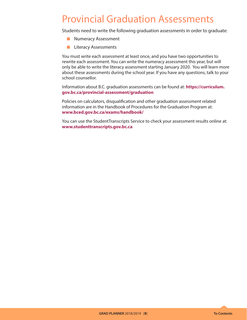### Provincial Graduation Assessments

Students need to write the following graduation assessments in order to graduate:

- **Numeracy Assessment**
- $\blacksquare$  Literacy Assessments

You must write each assessment at least once, and you have two opportunities to rewrite each assessment. You can write the numeracy assessment this year, but will only be able to write the literacy assessment starting January 2020. You will learn more about these assessments during the school year. If you have any questions, talk to your school counsellor.

Information about B.C. graduation assessments can be found at: **[https://curriculum.](https://curriculum.gov.bc.ca/provincial-assessment/graduation) [gov.bc.ca/provincial-assessment/graduation](https://curriculum.gov.bc.ca/provincial-assessment/graduation)**

Policies on calculators, disqualification and other graduation assessment related information are in the Handbook of Procedures for the Graduation Program at: **<www.bced.gov.bc.ca/exams/handbook/>**

You can use the StudentTranscripts Service to check your assessment results online at: **<www.studenttranscripts.gov.bc.ca>**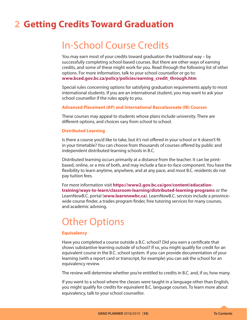### **2 Getting Credits Toward Graduation**

### In-School Course Credits

You may earn most of your credits toward graduation the traditional way – by successfully completing school-based courses. But there are other ways of earning credits, and some of these might work for you. Read through the following list of other options. For more information, talk to your school counsellor or go to: **[www.bced.gov.bc.ca/policy/policies/earning\\_credit\\_through.htm](http://www2.gov.bc.ca/gov/topic.page?id=A83BFC1275564C8E85146617D30BF2FE&title=Earning%20Credit%20through%20Equivalency%2C%20Challenge%2C%20External%20Credentials%2C%20Post%20Secondary%20Credit%20and%20Independent%20Directed%20Studies):)**

Special rules concerning options for satisfying graduation requirements apply to most international students. If you are an international student, you may want to ask your school counsellor if the rules apply to you.

#### **Advanced Placement (AP) and International Baccalaureate (IB) Courses**

These courses may appeal to students whose plans include university. There are different options, and choices vary from school to school.

#### **Distributed Learning**

Is there a course you'd like to take, but it's not offered in your school or it doesn't fit in your timetable? You can choose from thousands of courses offered by public and independent distributed learning schools in B.C.

Distributed learning occurs primarily at a distance from the teacher. It can be printbased, online, or a mix of both, and may include a face-to-face component. You have the flexibility to learn anytime, anywhere, and at any pace, and most B.C. residents do not pay tuition fees.

For more information visit **[https://www2.gov.bc.ca/gov/content/education](https://www2.gov.bc.ca/gov/content/education-training/ways-to-learn/classroom-learning/distributed-learning-programs)[training/ways-to-learn/classroom-learning/distributed-learning-programs](https://www2.gov.bc.ca/gov/content/education-training/ways-to-learn/classroom-learning/distributed-learning-programs)** or the LearnNowB.C. portal (**[www.learnnowbc.ca](http://www.learnnowbc.ca)**). LearnNowB.C. services include a provincewide course finder, a trades program finder, free tutoring services for many courses, and academic advising.

### Other Options

#### **Equivalency**

Have you completed a course outside a B.C. school? Did you earn a certificate that shows substantive learning outside of school? If so, you might qualify for credit for an equivalent course in the B.C. school system. If you can provide documentation of your learning (with a report card or transcript, for example) you can ask the school for an equivalency review.

The review will determine whether you're entitled to credits in B.C. and, if so, how many.

If you went to a school where the classes were taught in a language other than English, you might qualify for credits for equivalent B.C. language courses. To learn more about equivalency, talk to your school counsellor.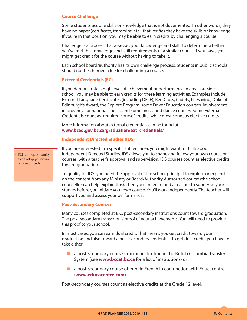#### **Course Challenge**

Some students acquire skills or knowledge that is not documented. In other words, they have no paper (certificate, transcript, etc.) that verifies they have the skills or knowledge. If you're in that position, you may be able to earn credits by challenging a course.

Challenge is a process that assesses your knowledge and skills to determine whether you've met the knowledge and skill requirements of a similar course. If you have, you might get credit for the course without having to take it.

Each school board/authority has its own challenge process. Students in public schools should not be charged a fee for challenging a course.

#### **External Credentials (EC)**

If you demonstrate a high level of achievement or performance in areas outside school, you may be able to earn credits for these learning activities. Examples include: External Language Certificates (including DELF), Red Cross, Cadets, Lifesaving, Duke of Edinburgh's Award, the Explore Program, some Driver Education courses, involvement in provincial or national sports, and some music and dance courses. Some External Credentials count as "required course" credits, while most count as elective credits.

More information about external credentials can be found at: **[www.bced.gov.bc.ca/graduation/ext\\_credentials/](https://www2.gov.bc.ca/gov/content/education-training/k-12/support/graduation/getting-credit-to-graduate/external-credentials)**

#### **Independent Directed Studies (IDS)**

If you are interested in a specific subject area, you might want to think about Independent Directed Studies. IDS allows you to shape and follow your own course or courses, with a teacher's approval and supervision. IDS courses count as elective credits toward graduation.

To qualify for IDS, you need the approval of the school principal to explore or expand on the content from any Ministry or Board/Authority Authorized course (the school counsellor can help explain this). Then you'll need to find a teacher to supervise your studies before you initiate your own course. You'll work independently. The teacher will support you and assess your performance.

#### **Post-Secondary Courses**

Many courses completed at B.C. post-secondary institutions count toward graduation. The post-secondary transcript is proof of your achievements. You will need to provide this proof to your school.

In most cases, you can earn dual credit. That means you get credit toward your graduation and also toward a post-secondary credential. To get dual credit, you have to take either:

- $\blacksquare$  a post-secondary course from an institution in the British Columbia Transfer System (see **[www.bccat.bc.ca](http://www.bccat.bc.ca)** for a list of institutions) or
- $\blacksquare$  a post-secondary course offered in French in conjunction with Educacentre (**[www.educacentre.com](http://www.educacentre.com)**).

Post-secondary courses count as elective credits at the Grade 12 level.

• IDS is an opportunity to develop your own course of study.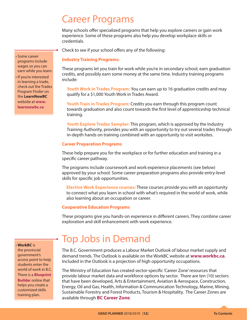### Career Programs

Many schools offer specialized programs that help you explore careers or gain work experience. Some of these programs also help you develop workplace skills or credentials.

Check to see if your school offers any of the following:

#### **Industry Training Programs:**

These programs let you train for work while you're in secondary school, earn graduation credits, and possibly earn some money at the same time. Industry training programs include:

**Youth Work in Trades Program:** You can earn up to 16 graduation credits and may qualify for a \$1,000 Youth Work in Trades Award.

**Youth Train in Trades Program:** Credits you earn through this program count towards graduation and also count towards the first level of apprenticeship technical training.

**Youth Explore Trades Sampler:** This program, which is approved by the Industry Training Authority, provides you with an opportunity to try out several trades through in-depth hands on training combined with an opportunity to visit worksites.

#### **Career Preparation Programs**

These help prepare you for the workplace or for further education and training in a specific career pathway.

The programs include coursework and work experience placements (see below) approved by your school. Some career preparation programs also provide entry-level skills for specific job opportunities.

**Elective Work Experience courses:** These courses provide you with an opportunity to connect what you learn in school with what's required in the world of work, while also learning about an occupation or career.

#### **Cooperative Education Programs**

These programs give you hands-on experience in different careers. They combine career exploration and skill enhancement with work experience.

the provincial government's access point to help students enter the world of work in B.C. There is a **[Blueprint](http://www.workbc.ca/blueprintbuilder)  [Builder](http://www.workbc.ca/blueprintbuilder)** online that helps you create a

customized skills training plan.

• **WorkBC** is

### Top Jobs in Demand

The B.C. Government produces a Labour Market Outlook of labour market supply and demand trends. The Outlook is available on the WorkBC website at **[www.workbc.ca](http://www.workbc.ca)**. Included in the Outlook is a projection of high opportunity occupations.

The Ministry of Education has created sector-specific 'Career Zone' resources that provide labour market data and workforce options by sector. There are ten (10) sectors that have been developed, Arts & Entertainment, Aviation & Aerospace, Construction, Energy, Oil and Gas, Health, Information & Communication Technology, Marine, Mining, Sustainable Forestry and Forest Products, Tourism & Hospitality. The Career Zones are available through **[BC Career Zone](https://www2.gov.bc.ca/gov/content/education-training/administration/kindergarten-to-grade-12/career-and-skills-training/toolkit)**.

• Some career programs include wages so you can earn while you learn.

• If you're interested in learning a trade, check out the Trades Program Finder on the **LearnNowBC** website at **www. learnnowbc.ca**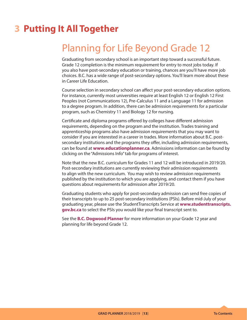### **3 Putting It All Together**

### Planning for Life Beyond Grade 12

Graduating from secondary school is an important step toward a successful future. Grade 12 completion is the minimum requirement for entry to most jobs today. If you also have post-secondary education or training, chances are you'll have more job choices. B.C. has a wide range of post-secondary options. You'll learn more about these in Career Life Education.

Course selection in secondary school can affect your post-secondary education options. For instance, currently most universities require at least English 12 or English 12 First Peoples (not Communications 12), Pre-Calculus 11 and a Language 11 for admission to a degree program. In addition, there can be admission requirements for a particular program, such as Chemistry 11 and Biology 12 for nursing.

Certificate and diploma programs offered by colleges have different admission requirements, depending on the program and the institution. Trades training and apprenticeship programs also have admission requirements that you may want to consider if you are interested in a career in trades. More information about B.C. postsecondary institutions and the programs they offer, including admission requirements, can be found at **<www.educationplanner.ca>**. Admissions information can be found by clicking on the "Admissions Info" tab for programs of interest.

Note that the new B.C. curriculum for Grades 11 and 12 will be introduced in 2019/20. Post-secondary institutions are currently reviewing their admission requirements to align with the new curriculum. You may wish to review admission requirements published by the institution to which you are applying, and contact them if you have questions about requirements for admission after 2019/20.

Graduating students who apply for post-secondary admission can send free copies of their transcripts to up to 25 post-secondary institutions (PSIs). Before mid-July of your graduating year, please use the StudentTranscripts Service at **[www.studenttranscripts.](https://www2.gov.bc.ca/gov/content/education-training/k-12/support/transcripts-and-certificates)  [gov.bc.ca](https://www2.gov.bc.ca/gov/content/education-training/k-12/support/transcripts-and-certificates)** to select the PSIs you would like your final transcript sent to.

See the **[B.C. Dogwood Planner](https://www2.gov.bc.ca/assets/gov/education/kindergarten-to-grade-12/support/graduation/bc_dogwood_planner_eng.pdf)** for more information on your Grade 12 year and planning for life beyond Grade 12.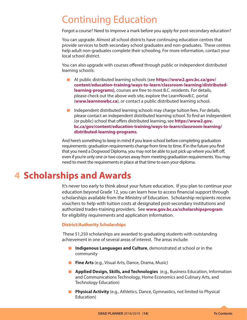### Continuing Education

Forgot a course? Need to improve a mark before you apply for post-secondary education?

You can upgrade. Almost all school districts have continuing education centres that provide services to both secondary school graduates and non-graduates. These centres help adult non-graduates complete their schooling. For more information, contact your local school district.

You can also upgrade with courses offered through public or independent distributed learning schools:

- **K** At public distributed learning schools (see **[https://www2.gov.bc.ca/gov/](https://www2.gov.bc.ca/gov/content/education-training/ways-to-learn/classroom-learning/distributed-learning-programs) [content/education-training/ways-to-learn/classroom-learning/distributed](https://www2.gov.bc.ca/gov/content/education-training/ways-to-learn/classroom-learning/distributed-learning-programs)[learning-programs](https://www2.gov.bc.ca/gov/content/education-training/ways-to-learn/classroom-learning/distributed-learning-programs))**, courses are free to most B.C. residents. For details, please check out the above web site, explore the LearnNowB.C. portal (**[www.learnnowbc.ca](http://www.learnnowbc.ca)**), or contact a public distributed learning school.
- $\blacksquare$  Independent distributed learning schools may charge tuition fees. For details, please contact an independent distributed learning school. To find an independent (or public) school that offers distributed learning, see **[https://www2.gov.](https://www2.gov.bc.ca/gov/content/education-training/ways-to-learn/classroom-learning/distributed-learning-programs) [bc.ca/gov/content/education-training/ways-to-learn/classroom-learning/](https://www2.gov.bc.ca/gov/content/education-training/ways-to-learn/classroom-learning/distributed-learning-programs) [distributed-learning-programs](https://www2.gov.bc.ca/gov/content/education-training/ways-to-learn/classroom-learning/distributed-learning-programs)**.

And here's something to keep in mind if you leave school before completing graduation requirements: graduation requirements change from time to time. If in the future you find that you need a Dogwood Diploma, you may not be able to just pick up where you left off, even if you're only one or two courses away from meeting graduation requirements. You may need to meet the requirements in place at that time to earn your diploma.

### **4 Scholarships and Awards**

It's never too early to think about your future education. If you plan to continue your education beyond Grade 12, you can learn how to access financial support through scholarships available from the Ministry of Education. Scholarship recipients receive vouchers to help with tuition costs at designated post-secondary institutions and authorized trades-training providers. See **<www.gov.bc.ca/scholarshipsprogram>** for eligibility requirements and application information.

#### **District/Authority Scholarships**

 These \$1,250 scholarships are awarded to graduating students with outstanding achievement in one of several areas of interest. The areas include:

- **Indigenous Languages and Culture**, demonstrated at school or in the community
- **Fine Arts** (e.g., Visual Arts, Dance, Drama, Music)
- **Applied Design, Skills, and Technologies** (e.g., Business Education, Information and Communications Technology, Home Economics and Culinary Arts, and Technology Education)
- **Physical Activity** (e.g., Athletics, Dance, Gymnastics, not limited to Physical Education)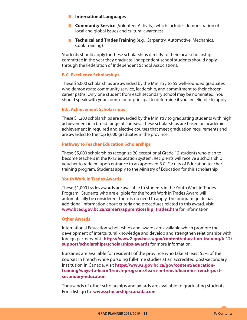- **K** International Languages
- **K Community Service** (Volunteer Activity), which includes demonstration of local and global issues and cultural awareness
- **F** Technical and Trades Training (e.g., Carpentry, Automotive, Mechanics, Cook Training)

Students should apply for these scholarships directly to their local scholarship committee in the year they graduate. Independent school students should apply through the Federation of Independent School Associations.

#### **B.C. Excellence Scholarships**

These \$5,000 scholarships are awarded by the Ministry to 55 well-rounded graduates who demonstrate community service, leadership, and commitment to their chosen career paths. Only one student from each secondary school may be nominated. You should speak with your counselor or principal to determine if you are eligible to apply.

#### **B.C. Achievement Scholarships**

These \$1,200 scholarships are awarded by the Ministry to graduating students with high achievement in a broad range of courses. These scholarships are based on academic achievement in required and elective courses that meet graduation requirements and are awarded to the top 8,000 graduates in the province.

#### **Pathway to Teacher Education Scholarships**

These \$5,000 scholarships recognize 20 exceptional Grade 12 students who plan to become teachers in the K-12 education system. Recipients will receive a scholarship voucher to redeem upon entrance to an approved B.C. Faculty of Education teachertraining program. Students apply to the Ministry of Education for this scholarship.

#### **Youth Work in Trades Awards**

These \$1,000 trades awards are available to students in the Youth Work in Trades Program. Students who are eligible for the Youth Work in Trades Award will automatically be considered. There is no need to apply. The program guide has additional information about criteria and procedures related to this award, visit **[www.bced.gov.bc.ca/careers/apprenticeship\\_trades.htm](www.bced.gov.bc.ca/careers/apprenticeship_trades.htm)** for information.

#### **Other Awards**

International Education scholarships and awards are available which promote the development of intercultural knowledge and develop and strengthen relationships with foreign partners. Visit **[https://www2.gov.bc.ca/gov/content/education-training/k-12/](https://www2.gov.bc.ca/gov/content/education-training/k-12/support/scholarships/scholarships-awards) [support/scholarships/scholarships-awards](https://www2.gov.bc.ca/gov/content/education-training/k-12/support/scholarships/scholarships-awards)** for more information.

Bursaries are available for residents of the province who take at least 55% of their courses in French while pursuing full-time studies at an accredited post-secondary institution in Canada. Visit **[https://www2.gov.bc.ca/gov/content/education](https://www2.gov.bc.ca/gov/content/education-training/ways-to-learn/french-programs/learn-in-french/learn-in-french-post-secondary-education)[training/ways-to-learn/french-programs/learn-in-french/learn-in-french-post](https://www2.gov.bc.ca/gov/content/education-training/ways-to-learn/french-programs/learn-in-french/learn-in-french-post-secondary-education)[secondary-education](https://www2.gov.bc.ca/gov/content/education-training/ways-to-learn/french-programs/learn-in-french/learn-in-french-post-secondary-education)**.

Thousands of other scholarships and awards are available to graduating students. For a list, go to: **<www.scholarshipscanada.com>**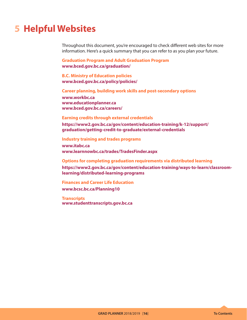### **5 Helpful Websites**

Throughout this document, you're encouraged to check different web sites for more information. Here's a quick summary that you can refer to as you plan your future.

**Graduation Program and Adult Graduation Program [www.bced.gov.bc.ca/graduation/](http://www.bced.gov.bc.ca/graduation/grad_certificate.htm)**

**B.C. Ministry of Education policies [www.bced.gov.bc.ca/policy/policies/](http://www2.gov.bc.ca/gov/topic.page?id=C89DAF78C26641299E72A78187BEAE3D)**

**Career planning, building work skills and post-secondary options**

**[www.workbc.ca](http://www.workbc.ca) [www.educationplanner.ca](http://www.educationplanner.ca) [www.bced.gov.bc.ca/careers/](http://www.bced.gov.bc.ca/careers/)**

#### **Earning credits through external credentials**

**[https://www2.gov.bc.ca/gov/content/education-training/k-12/support/](https://www2.gov.bc.ca/gov/content/education-training/k-12/support/graduation/getting-credit-to-graduate/external-credentials) [graduation/getting-credit-to-graduate/external-credentials](https://www2.gov.bc.ca/gov/content/education-training/k-12/support/graduation/getting-credit-to-graduate/external-credentials)**

**Industry training and trades programs [www.itabc.ca](http://www.itabc.ca) [www.learnnowbc.ca/trades/TradesFinder.aspx](http://www.learnnowbc.ca/trades/TradesFinder.aspx)**

**Options for completing graduation requirements via distributed learning [https://www2.gov.bc.ca/gov/content/education-training/ways-to-learn/classroom](https://www2.gov.bc.ca/gov/content/education-training/ways-to-learn/classroom-learning/distributed-learning-programs)[learning/distributed-learning-programs](https://www2.gov.bc.ca/gov/content/education-training/ways-to-learn/classroom-learning/distributed-learning-programs)**

**Finances and Career Life Education [www.bcsc.bc.ca/Planning10](http://www.investright.org/planning_10_finances/Planning_10__Finances.aspx)**

**Transcripts www.studenttranscripts.gov.bc.ca**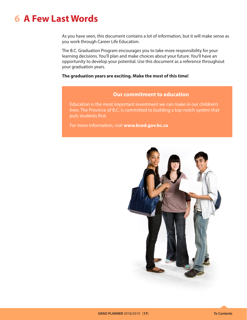### **6 A Few Last Words**

As you have seen, this document contains a lot of information, but it will make sense as you work through Career Life Education.

The B.C. Graduation Program encourages you to take more responsibility for your learning decisions. You'll plan and make choices about your future. You'll have an opportunity to develop your potential. Use this document as a reference throughout your graduation years.

#### **The graduation years are exciting. Make the most of this time!**

#### **Our commitment to education**

Education is the most important investment we can make in our children's lives. The Province of B.C. is committed to building a top-notch system that puts students first.

For more information, visit **[www.bced.gov.bc.ca](http://www.bced.gov.bc.ca)**